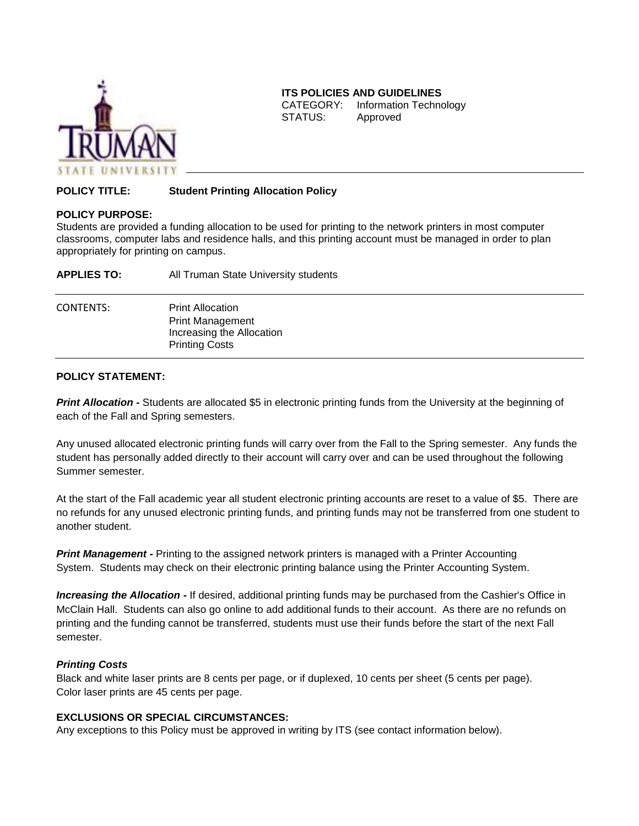

## **ITS POLICIES AND GUIDELINES**

CATEGORY: Information Technology STATUS: Approved

# **POLICY TITLE: Student Printing Allocation Policy**

#### **POLICY PURPOSE:**

Students are provided a funding allocation to be used for printing to the network printers in most computer classrooms, computer labs and residence halls, and this printing account must be managed in order to plan appropriately for printing on campus.

| <b>APPLIES TO:</b> | All Truman State University students                                                                     |
|--------------------|----------------------------------------------------------------------------------------------------------|
| <b>CONTENTS:</b>   | <b>Print Allocation</b><br><b>Print Management</b><br>Increasing the Allocation<br><b>Printing Costs</b> |

## **POLICY STATEMENT:**

**Print Allocation** - Students are allocated \$5 in electronic printing funds from the University at the beginning of each of the Fall and Spring semesters.

Any unused allocated electronic printing funds will carry over from the Fall to the Spring semester. Any funds the student has personally added directly to their account will carry over and can be used throughout the following Summer semester.

At the start of the Fall academic year all student electronic printing accounts are reset to a value of \$5. There are no refunds for any unused electronic printing funds, and printing funds may not be transferred from one student to another student.

**Print Management** - Printing to the assigned network printers is managed with a Printer Accounting System. Students may check on their electronic printing balance using the Printer Accounting System.

*Increasing the Allocation -* If desired, additional printing funds may be purchased from the Cashier's Office in McClain Hall. Students can also go online to add additional funds to their account. As there are no refunds on printing and the funding cannot be transferred, students must use their funds before the start of the next Fall semester.

#### *Printing Costs*

Black and white laser prints are 8 cents per page, or if duplexed, 10 cents per sheet (5 cents per page). Color laser prints are 45 cents per page.

## **EXCLUSIONS OR SPECIAL CIRCUMSTANCES:**

Any exceptions to this Policy must be approved in writing by ITS (see contact information below).